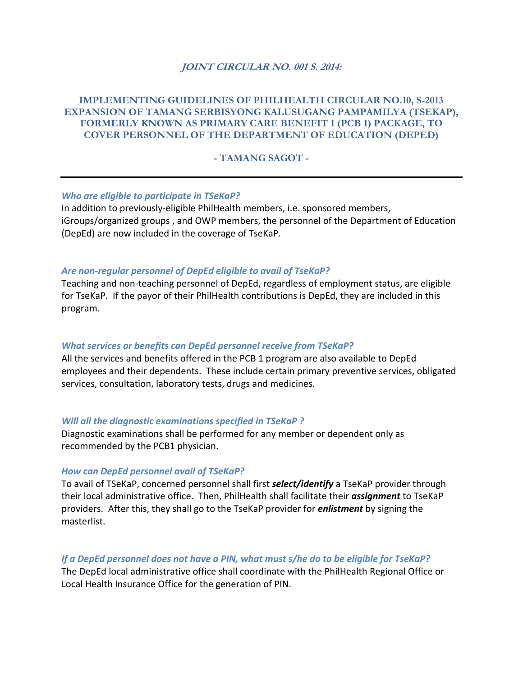## **JOINT CIRCULAR NO. 001 S. 2014:**

# **IMPLEMENTING GUIDELINES OF PHILHEALTH CIRCULAR NO.10, S-2013 EXPANSION OF TAMANG SERBISYONG KALUSUGANG PAMPAMILYA (TSEKAP), FORMERLY KNOWN AS PRIMARY CARE BENEFIT 1 (PCB 1) PACKAGE, TO COVER PERSONNEL OF THE DEPARTMENT OF EDUCATION (DEPED)**

### **- TAMANG SAGOT -**

#### *Who are eligible to participate in TSeKaP?*

In addition to previously‐eligible PhilHealth members, i.e. sponsored members, iGroups/organized groups , and OWP members, the personnel of the Department of Education (DepEd) are now included in the coverage of TseKaP.

### *Are non‐regular personnel of DepEd eligible to avail of TseKaP?*

Teaching and non‐teaching personnel of DepEd, regardless of employment status, are eligible for TseKaP. If the payor of their PhilHealth contributions is DepEd, they are included in this program.

#### *What services or benefits can DepEd personnel receive from TSeKaP?*

All the services and benefits offered in the PCB 1 program are also available to DepEd employees and their dependents. These include certain primary preventive services, obligated services, consultation, laboratory tests, drugs and medicines.

#### *Will all the diagnostic examinations specified in TSeKaP ?*

Diagnostic examinations shall be performed for any member or dependent only as recommended by the PCB1 physician.

#### *How can DepEd personnel avail of TSeKaP?*

To avail of TSeKaP, concerned personnel shall first *select/identify* a TseKaP provider through their local administrative office. Then, PhilHealth shall facilitate their *assignment* to TseKaP providers. After this, they shall go to the TseKaP provider for *enlistment* by signing the masterlist.

### *If a DepEd personnel does not have a PIN, what must s/he do to be eligible for TseKaP?*

The DepEd local administrative office shall coordinate with the PhilHealth Regional Office or Local Health Insurance Office for the generation of PIN.